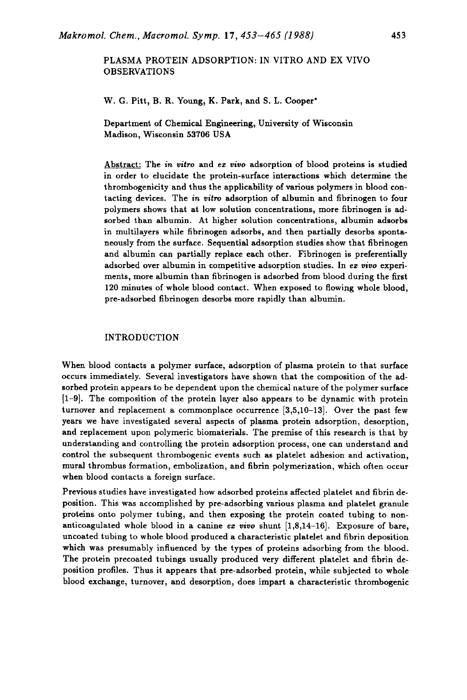## PLASMA PROTEIN ADSORPTION: IN VITRO AND EX VIVO OBSERVATIONS

W. G. Pitt, B. R. Young, K. Park, and **S.** L. Cooper'

Department of Chemical Engineering, University of Wisconsin Madison, Wisconsin **53706** USA

Abstract: The *in* **uitro** and **ez** *uiuo* adsorption of blood proteins is studied in order to elucidate the protein-surface interactions which determine the thrombogenicity and thus the applicability of various polymers in blood contacting devices. The *in vitro* adsorption of albumin and fibrinogen to four polymers shows that at low solution concentrations, more fibrinogen is adsorbed than albumin. At higher solution concentrations, albumin adsorbs in multilayers while fibrinogen adsorbs, and then partially desorbs spontaneously from the surface. Sequential adsorption studies show that fibrinogen and albumin can partially replace each other. Fibrinogen is preferentially adsorbed over albumin in competitive adsorption studies. In ez *uiuo* experiments, more albumin than fibrinogen is adsorbed from blood during the first **120** minutes of whole blood contact. When exposed to flowing whole blood, pre-adsorbed fibrinogen desorbs more rapidly than albumin.

## INTRODUCTION

When blood contacts a polymer surface, adsorption of plasma protein to that surface occurs immediately. Several investigators have shown that the composition of the adsorbed protein appears to be dependent upon the chemical nature of the polymer surface **[l-91.** The composition of the protein layer also appears to be dynamic with protein turnover and replacement a commonplace occurrence **[3,5,10-131.** Over the past few years we have investigated several aspects of plasma protein adsorption, desorption, and replacement upon polymeric biomaterials. The premise of this research is that by understanding and controlling the protein adsorption process, one can understand and control the subsequent thrombogenic events such as platelet adhesion and activation, mural thrombus formation, embolization, and fibrin polymerization, which often occur when blood contacts a foreign surface.

Previous studies have investigated how adsorbed proteins affected platelet and fibrin deposition. This was accomplished by pre-adsorbing various plasma and platelet granule proteins onto polymer tubing, and then exposing the protein coated tubing to nonanticoagulated whole blood in a canine ez *uiuo* shunt **[1,8,14-161.** Exposure of bare, uncoated tubing to whole blood produced a characteristic platelet and fibrin deposition which was presumably influenced by the types of proteins adsorbing from the blood. The protein precoated tubings usually produced very different platelet and fibrin deposition profiles. Thus it appears that pre-adsorbed protein, while subjected to whole blood exchange, turnover, and desorption, does impart a characteristic thrombogenic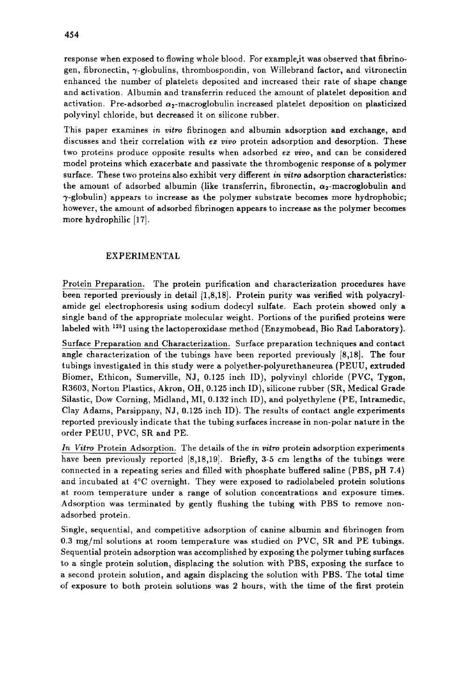response when exposed to flowing whole blood. For example,it was observed that fibrinogen, fibronectin,  $\gamma$ -globulins, thrombospondin, von Willebrand factor, and vitronectin enhanced the number of platelets deposited and increased their rate of shape change and activation. Albumin and transferrin reduced the amount of platelet deposition and activation. Pre-adsorbed  $\alpha_2$ -macroglobulin increased platelet deposition on plasticized polyvinyl chloride, but decreased it on silicone rubber.

This paper examines *in vitro* fibrinogen and albumin adsorption and exchange, and discusses and their correlation with ez *vivo* protein adsorption and desorption. These two proteins produce opposite results when adsorbed ez *vivo,* and can be considered model proteins which exacerbate and passivate the thrombogenic response of **a** polymer surface. These two proteins also exhibit very different *in* vitro adsorption characteristics: the amount of adsorbed albumin (like transferrin, fibronectin,  $\alpha_2$ -macroglobulin and  $\gamma$ -globulin) appears to increase as the polymer substrate becomes more hydrophobic; however, the amount of adsorbed fibrinogen appears to increase as the polymer becomes more hydrophilic **[17].** 

## EXPERIMENTAL

Protein Preparation. The protein purification and characterization procedures have been reported previously in detail **[1,8,18].** Protein purity was verified with polyacrylamide gel electrophoresis using sodium dodecyl sulfate. Each protein showed only a single band of the appropriate molecular weight. Portions of the purified proteins were labeled with <sup>125</sup>I using the lactoperoxidase method (Enzymobead, Bio Rad Laboratory).

Surface Preparation and Characterization. Surface preparation techniques and contact angle characterization of the tubings have been reported previously **[8,18].** The four tubings investigated in this study were a polyether-polyurethaneurea (PEUU, extruded Biomer, Ethicon, Sumerville, NJ, **0.125** inch ID), polyvinyl chloride (PVC, Tygon, **R3603,** Norton Plastics, Akron, OH, **0.125** inch ID), silicone rubber (SR, Medical Grade Silastic, Dow Corning, Midland, MI, **0.132** inch ID), and polyethylene (PE, Intramedic, Clay Adams, Parsippany, NJ, **0.125** inch ID). The results of contact angle experiments reported previously indicate that the tubing surfaces increase in non-polar nature in the order PEUU, PVC, **SR** and PE.

*In Vitro* Protein Adsorption. The details of the *in* vitro protein adsorption experiments have been previously reported **[8,18,19].** Briefly, **3-5** cm lengths of the tubings were connected in a repeating series and filled with phosphate buffered saline (PBS, pH 7.4) and incubated at 4°C overnight. They were exposed to radiolabeled protein solutions at room temperature under a range of solution concentrations and exposure times. Adsorption was terminated by gently flushing the tubing with PBS to remove nonadsorbed protein.

Single, sequential, and competitive adsorption of canine albumin and fibrinogen from **0.3** mg/ml solutions at room temperature was studied on PVC, **SR** and PE tubings. Sequential protein adsorption was accomplished by exposing the polymer tubing surfaces to a single protein solution, displacing the solution with PBS, exposing the surface to a second protein solution, and again displacing the solution with PBS. The total time of exposure to both protein solutions was **2** hours, with the time of the first protein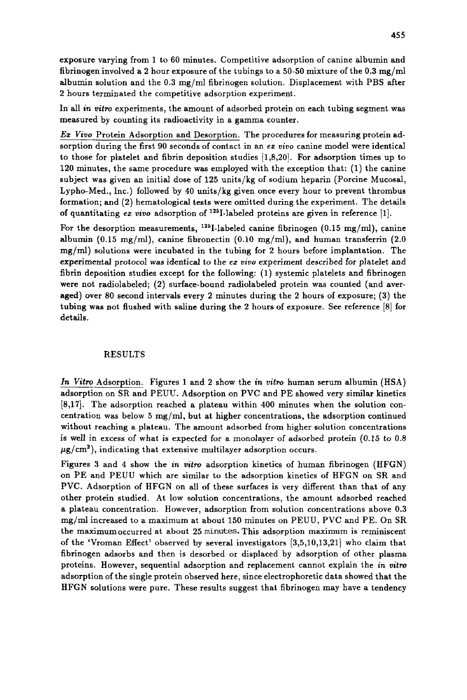exposure varying from **1** to 60 minutes. Competitive adsorption of canine albumin and fibrinogen involved a 2 hour exposure of the tubings to a 50-50 mixture of the 0.3 mg/ml albumin solution and the 0.3 mg/ml fibrinogen solution. Displacement with PBS after **2** hours terminated the competitive adsorption experiment.

In all in *vitro* experiments, the amount of adsorbed protein on each tubing segment was measured by counting its radioactivity in a gamma counter.

*Ez Viuo* Protein Adsorption and Desorption. The procedures for measuring protein adsorption during the first 90 seconds of contact in an **ez** *vim* canine model were identical to those for platelet and fibrin deposition studies **[1,8,20].** For adsorption times up to **120** minutes, the same procedure was employed with the exception that: **(1)** the canine subject was given an initial dose of **125** units/kg of sodium heparin (Porcine Mucosal, Lypho-Med., Inc.) followed by **40** units/kg given once every hour to prevent thrombus formation; and **(2)** hematological tests were omitted during the experiment. The details of quantitating *ex vivo* adsorption of <sup>125</sup>I-labeled proteins are given in reference [1].

For the desorption measurements, <sup>125</sup>I-labeled canine fibrinogen (0.15 mg/ml), canine albumin (0.15 mg/ml), canine fibronectin (0.10 mg/ml), and human transferrin (2.0 mg/ml) solutions were incubated in the tubing for **2** hours before implantation. The experimental protocol was identical to the **ez** vivo experiment described for platelet and fibrin deposition studies except for the following: **(1)** systemic platelets and fibrinogen were not radiolabeled; **(2)** surface-bound radiolabeled protein was counted (and averaged) over 80 second intervals every **2** minutes during the **2** hours of exposure; **(3)** the tubing was not flushed with saline during the **2** hours of exposure. See reference *[8]* for details.

#### RESULTS

**In** *Vitro* Adsorption. Figures **1** and **2** show the **in** *vitro* human serum albumin (HSA) adsorption on SR and PEUU. Adsorption on PVC and PE showed very similar kinetics **[8,17].** The adsorption reached a plateau within 400 minutes when the solution concentration was below **5** mg/ml, but at higher concentrations, the adsorption continued without reaching a plateau. The amount adsorbed from higher solution concentrations is well in excess of what is expected for a monolayer of adsorbed protein **(0.15** to 0.8  $\mu$ g/cm<sup>2</sup>), indicating that extensive multilayer adsorption occurs.

Figures **3** and **4** show the *in* vitro adsorption kinetics of human fibrinogen (HFGN) on PE and PEUU which are similar to the adsorption kinetics of HFGN on SR and PVC. Adsorption of HFGN on all of these surfaces is very different than that of any other protein studied. At low solution concentrations, the amount adsorbed reached a plateau concentration. However, adsorption from solution concentrations above **0.3**  mg/ml increased to a maximum at about **150** minutes on PEUU, PVC and PE. On SR the maximumoccurred at about **25 minutes.** This adsorption maximum is reminiscent of the 'Vroman Effect' observed by several investigators **[3,5,10,13,21]** who claim that fibrinogen adsorbs and then is desorbed or displaced by adsorption of other plasma proteins. However, sequential adsorption and replacement cannot explain the in *witro*  adsorption of the single protein observed here, since electrophoretic data showed that the HFGN solutions were pure. These results suggest that fibrinogen may have a tendency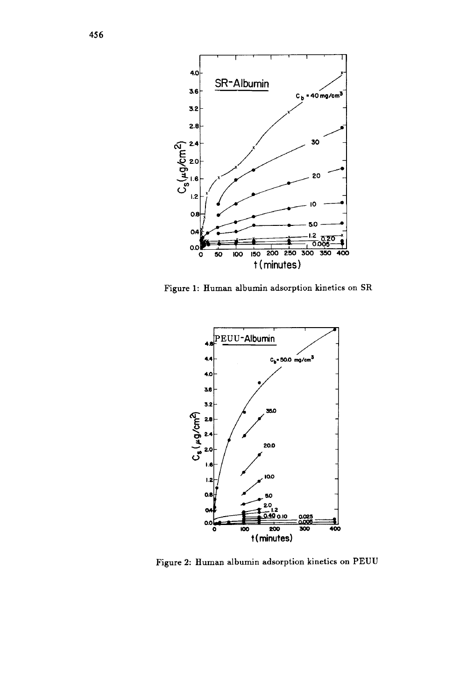

**Figure 1: Human albumin adsorption kinetics on SR** 



**Figure 2: Human albumin adsorption kinetics on PEUU**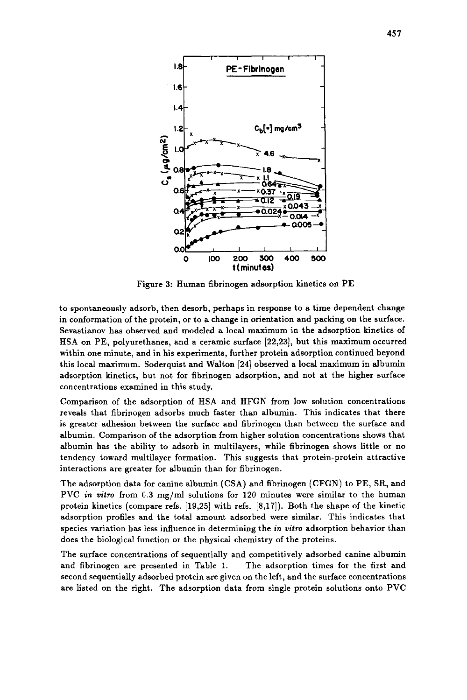

Figure 3: Human fibrinogen adsorption kinetics on PE

to spontaneously adsorb, then desorb, perhaps in response to a time dependent change in conformation of the protein, or to a change in orientation and packing on the surface. Sevastianov has observed and modeled a local maximum in the adsorption kinetics of HSA on PE, polyurethanes, and **a** ceramic surface [22,23], but this maximum occurred within one minute, and in his experiments, further protein adsorption continued beyond this local maximum. Soderquist and Walton [24] observed a local maximum in albumin adsorption kinetics, but not for fibrinogen adsorption, and not at the higher surface concentrations examined in this study.

Comparison of the adsorption of HSA and HFGN from low solution concentrations reveals that fibrinogen adsorbs much faster than albumin. This indicates that there is greater adhesion between the surface and fibrinogen than between the surface and albumin. Comparison of the adsorption from higher solution concentrations shows that albumin has the ability to adsorb in multilayers, while fibrinogen shows little or no tendency toward multilayer formation. This suggests that protein-protein attractive interactions are greater for albumin than for fibrinogen.

The adsorption data for canine albumin (CSA) and fibrinogen (CFGN) to PE, SR, and PVC in vitro from 6.3 mg/ml solutions for 120 minutes were similar to the human protein kinetics (compare refs. [19,25] with refs. **[8,17]).** Both the shape of the kinetic adsorption profiles and the total amount adsorbed were similar. This indicates that species variation has less influence in determining the in *vitro* adsorption behavior than does the biological function or the physical chemistry of the proteins.

The surface concentrations of sequentially and competitively adsorbed canine albumin and fibrinogen are presented in Table 1. The adsorption times for the first and second sequentially adsorbed protein are given on the left, and the surface concentrations are listed on the right. The adsorption data from single protein solutions onto PVC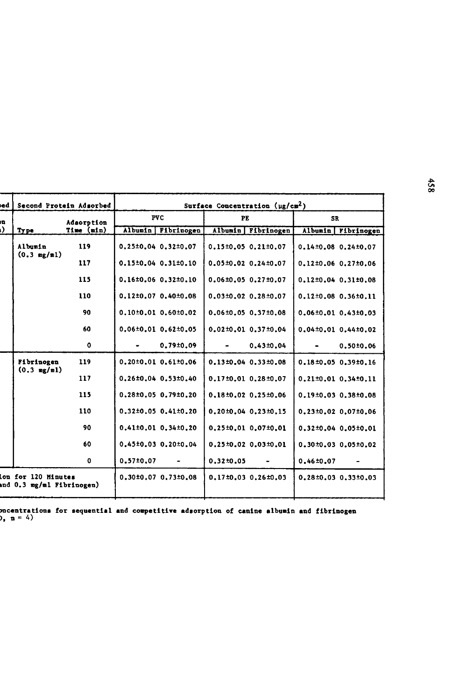| bed | Second Protein Adsorbed                         |             | Surface Concentration $(\mu g/cm^2)$ |                                 |                 |                                 |                                 |                      |
|-----|-------------------------------------------------|-------------|--------------------------------------|---------------------------------|-----------------|---------------------------------|---------------------------------|----------------------|
| n   |                                                 | Adsorption  | <b>PVC</b>                           |                                 | PE              |                                 | SR                              |                      |
|     | <b>Type</b>                                     | Time (min)  |                                      | Albumin   Fibrinogen            |                 | Albumin Fibrinogen              |                                 | Albumin   Fibrinogen |
|     | Albumin<br>$(0.3 \text{ mg/ml})$                | 119         |                                      | $0.25 \pm 0.04$ $0.32 \pm 0.07$ |                 | $0.15 \pm 0.05$ $0.21 \pm 0.07$ | $0.14\pm0.08$ 0.24 $\pm0.07$    |                      |
|     |                                                 | 117         |                                      | $0.15\pm0.04$ $0.31\pm0.10$     |                 | $0.05 \pm 0.02$ $0.24 \pm 0.07$ | $0.12 \pm 0.06$ 0.27 $\pm 0.06$ |                      |
|     |                                                 | 115         |                                      | $0.16 \pm 0.06$ $0.32 \pm 0.10$ |                 | $0.06 \pm 0.05$ $0.27 \pm 0.07$ | $0.12 \pm 0.04$ $0.31 \pm 0.08$ |                      |
|     |                                                 | 110         |                                      | $0.12\pm0.07$ $0.40\pm0.08$     |                 | $0.03\pm0.02$ $0.28\pm0.07$     | $0.12 \pm 0.08$ 0.36 $\pm 0.11$ |                      |
|     |                                                 | 90          |                                      | $0.10\pm0.01$ $0.60\pm0.02$     |                 | $0.06 \pm 0.05$ $0.37 \pm 0.08$ | $0.06 \pm 0.01$ $0.43 \pm 0.03$ |                      |
|     |                                                 | 60          |                                      | $0.06 \pm 0.01$ $0.62 \pm 0.05$ |                 | $0.02 \pm 0.01$ 0.37 $\pm 0.04$ | 0.04±0.01 0.44±0.02             |                      |
|     |                                                 | 0           |                                      | 0.79±0.09                       | ٠               | $0.43 + 0.04$                   |                                 | 0.5010.06            |
|     | Fibrinogen<br>$(0.3 \text{ mg/ml})$             | 119         |                                      | $0.20 \pm 0.01$ $0.61 \pm 0.06$ |                 | $0.13\pm0.04$ $0.33\pm0.08$     | $0.18 \pm 0.05$ $0.39 \pm 0.16$ |                      |
|     |                                                 | 117         |                                      | $0.26 \pm 0.04$ 0.53 $\pm 0.40$ |                 | $0.17 \pm 0.01$ 0.28 $\pm 0.07$ | $0.21 \pm 0.01$ $0.34 \pm 0.11$ |                      |
|     |                                                 | 115         |                                      | $0.28 \pm 0.05$ 0.79 $\pm 0.20$ |                 | 0.18±0.02 0.25±0.06             | $0.19±0.03$ $0.38±0.08$         |                      |
|     |                                                 | 110         |                                      | $0.32\pm0.05$ $0.41\pm0.20$     |                 | $0.20 \pm 0.04$ $0.23 \pm 0.15$ | $0.23 \pm 0.02$ 0.07 $\pm 0.06$ |                      |
|     |                                                 | 90          |                                      | $0.41\pm0.01$ $0.34\pm0.20$     |                 | $0.25 \pm 0.01$ 0.07 $\pm 0.01$ | $0.32 \pm 0.04$ 0.05 $\pm 0.01$ |                      |
|     |                                                 | 60          |                                      | $0.45\pm0.03$ $0.20\pm0.04$     |                 | $0.25 \pm 0.02$ 0.03 $\pm 0.01$ | $0.30\pm0.03$ $0.05\pm0.02$     |                      |
|     |                                                 | $\mathbf o$ | $0.57 \pm 0.07$                      | ٠                               | $0.32 \pm 0.05$ | ۰                               | $0.46 \pm 0.07$                 |                      |
|     | lon for 120 Minutes<br>nd 0.3 mg/ml Fibrinogen) |             |                                      | $0.30\pm0.07$ $0.73\pm0.08$     |                 | $0.17 \pm 0.03$ 0.26 $\pm 0.03$ | $0.28 \pm 0.03$ $0.33 \pm 0.03$ |                      |

Table 1. Surface cmcentrationa for aequential and competitive adaorption of **canine** albumin and fibrinogen **(mean** f **m, n** <sup>=</sup>*4)*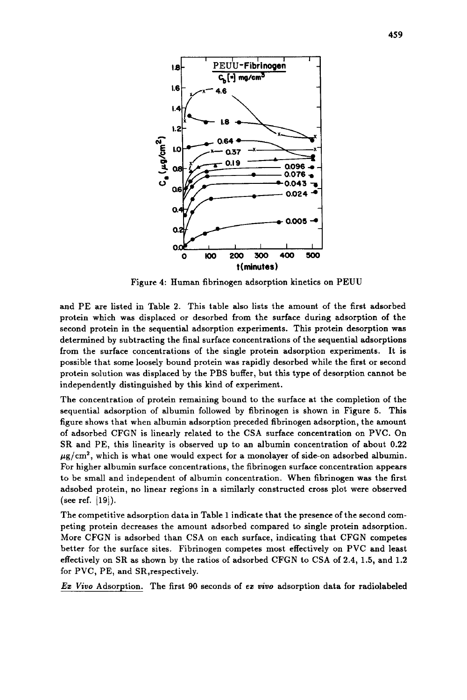

Figure **4:** Human fibrinogen adsorption kinetics on PEUU

and PE are listed in Table **2.** This table also lists the amount of the first adsorbed protein which was displaced or desorbed from the surface during adsorption of the second protein in the sequential adsorption experiments. This protein desorption was determined by subtracting the final surface concentrations of the sequential adsorptions from the surface concentrations of the single protein adsorption experiments. It is possible that some loosely bound protein was rapidly desorbed while the first or second protein solution was displaced by the PBS buffer, but this type of desorption cannot be independently distinguished by this kind of experiment.

The concentration of protein remaining bound to the surface at the completion of the sequential adsorption of albumin followed by fibrinogen is shown in Figure *5.* This figure shows that when albumin adsorption preceded fibrinogen adsorption, the amount of adsorbed CFGN is linearly related to the CSA surface concentration on PVC. On SR and PE, this linearity is observed up to an albumin concentration of about **0.22**   $\mu$ g/cm<sup>2</sup>, which is what one would expect for a monolayer of side-on adsorbed albumin. For higher albumin surface concentrations, the fibrinogen surface concentration appears to be small and independent of albumin concentration. When fibrinogen was the first adsobed protein, no linear regions in a similarly constructed cross plot were observed (see ref.  $|19\rangle$ ).

The competitive adsorption data in Table 1 indicate that the presence of the second competing protein decreases the amount adsorbed compared to single protein adsorption. More CFGN is adsorbed than CSA on each surface, indicating that CFGN competes better for the surface sites. Fibrinogen competes most effectively on PVC and least effectively on SR as shown by the ratios of adsorbed CFGN to CSA of **2.4, 1.5,** and **1.2**  for PVC, PE, and SR,respectively.

*Ez Viuo* Adsorption. The first 90 seconds of **ez** *uiuo* adsorption data for radiolabeled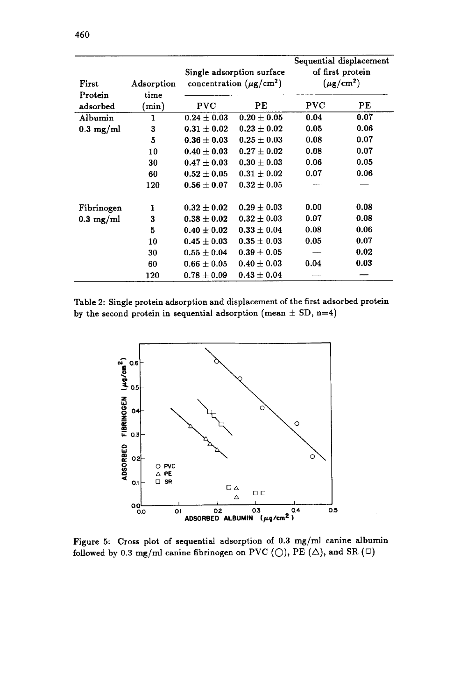| First               | Adsorption |                 | Single adsorption surface<br>concentration $(\mu g/cm^2)$ | Sequential displacement<br>of first protein<br>$(\mu$ g/cm <sup>2</sup> ) |      |  |
|---------------------|------------|-----------------|-----------------------------------------------------------|---------------------------------------------------------------------------|------|--|
| Protein             | time       |                 |                                                           |                                                                           |      |  |
| adsorbed            | (min)      | PVC             | PЕ                                                        | PVC                                                                       | PЕ   |  |
| Albumin             | 1          | $0.24 \pm 0.03$ | $0.20 \pm 0.05$                                           | 0.04                                                                      | 0.07 |  |
| $0.3 \text{ mg/ml}$ | 3          | $0.31 \pm 0.02$ | $0.23 \pm 0.02$                                           | 0.05                                                                      | 0.06 |  |
|                     | 5          | $0.36\pm0.03$   | $0.25 \pm 0.03$                                           | 0.08                                                                      | 0.07 |  |
|                     | 10         | $0.40 \pm 0.03$ | $0.27 \pm 0.02$                                           | 0.08                                                                      | 0.07 |  |
|                     | 30         | $0.47 \pm 0.03$ | $0.30 \pm 0.03$                                           | 0.06                                                                      | 0.05 |  |
|                     | 60         | $0.52 \pm 0.05$ | $0.31 \pm 0.02$                                           | 0.07                                                                      | 0.06 |  |
|                     | 120        | $0.56 \pm 0.07$ | $0.32 \pm 0.05$                                           |                                                                           |      |  |
| Fibrinogen          | 1          | $0.32 \pm 0.02$ | $0.29 \pm 0.03$                                           | 0.00                                                                      | 0.08 |  |
| $0.3 \text{ mg/ml}$ | 3          | $0.38 \pm 0.02$ | $0.32 \pm 0.03$                                           | 0.07                                                                      | 0.08 |  |
|                     | 5          | $0.40 \pm 0.02$ | $0.33 \pm 0.04$                                           | 0.08                                                                      | 0.06 |  |
|                     | 10         | $0.45 \pm 0.03$ | $0.35 \pm 0.03$                                           | 0.05                                                                      | 0.07 |  |
|                     | 30         | $0.55 \pm 0.04$ | $0.39 \pm 0.05$                                           |                                                                           | 0.02 |  |
|                     | 60         | $0.66 \pm 0.05$ | $0.40 \pm 0.03$                                           | 0.04                                                                      | 0.03 |  |
|                     | 120        | $0.78 \pm 0.09$ | $0.43 \pm 0.04$                                           |                                                                           |      |  |

Table **2:** Single protein adsorption and displacement of the first adsorbed protein by the second protein in sequential adsorption (mean  $\pm$  SD, n=4)



Figure **5:** Cross plot of sequential adsorption of **0.3** mg/ml canine albumin followed by 0.3 mg/ml canine fibrinogen on PVC  $(\bigcirc)$ , PE  $(\bigtriangleup)$ , and SR  $(\Box)$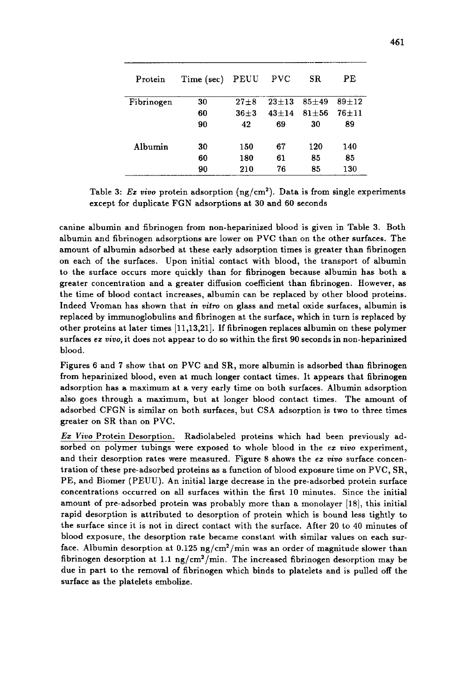| Protein    | Time (sec) | PEUU     | $_{\mathrm{PVC}}$ | SR.       | РE        |
|------------|------------|----------|-------------------|-----------|-----------|
| Fibrinogen | 30         | $27 + 8$ | $23 + 13$         | $85 + 49$ | $89 + 12$ |
|            | 60         | $36 + 3$ | $43 + 14$         | $81 + 56$ | $76 + 11$ |
|            | 90         | 42       | 69                | 30        | 89        |
| Albumin    | 30         | 150      | 67                | 120       | 140       |
|            | 60         | 180      | 61                | 85        | 85        |
|            | 90         | 210      | 76                | 85        | 130       |

Table 3: *Ex vivo* protein adsorption  $(ng/cm^2)$ . Data is from single experiments except for duplicate FGN adsorptions at **30** and **60** seconds

canine albumin and fibrinogen from non-heparinized blood is given in Table **3.** Both albumin and fibrinogen adsorptions are lower on PVC than on the other surfaces. The amount of albumin adsorbed at these early adsorption times is greater than fibrinogen on each of the surfaces. Upon initial contact with blood, the transport of albumin to the surface occurs more quickly than for fibrinogen because albumin has both a greater concentration and a greater diffusion coefficient than fibrinogen. However, as the time of blood contact increases, albumin can be replaced by other blood proteins. Indeed Vroman has shown that *in vitro* on glass and metal oxide surfaces, albumin is replaced by immunoglobulins and fibrinogen at the surface, which in turn is replaced by other proteins at later times **[11,13,21].** If fibrinogen replaces albumin on these polymer surfaces **ez** *uivo,* it does not appear to do so within the first 90 seconds in non-heparinized blood.

Figures **6** and **7** show that on PVC and SR, more albumin is adsorbed than fibrinogen from heparinized blood, even at much longer contact times. It appears that fibrinogen adsorption has a maximum at a very early time on both surfaces. Albumin adsorption also goes through a maximum, but at longer blood contact times. The amount of adsorbed CFGN is similar on both surfaces, but CSA adsorption is two to three times greater on SR than on PVC.

*Ez* **Vavo** Protein Desorption. Radiolabeled proteins which had been previously adsorbed on polymer tubings were exposed to whole blood in the **ez** vivo experiment, and their desorption rates were measured. Figure 8 shows the *ez vivo* surface concentration of these pre-adsorbed proteins as a function of blood exposure time on PVC, SR, PE, and Biomer (PEUU). An initial large decrease in the pre-adsorbed protein surface concentrations occurred on all surfaces within the first **10** minutes. Since the initial amount of pre-adsorbed protein was probably more than a monolayer [18], this initial rapid desorption is attributed to desorption of protein which is bound less tightly to the surface since it is not in direct contact with the surface. After 20 to **40** minutes of blood exposure, the desorption rate became constant with similar values on each surface. Albumin desorption at **0.125** ng/cm2/min was an order of magnitude slower than fibrinogen desorption at 1.1  $\frac{1}{\text{mg}}/\text{min}$ . The increased fibrinogen desorption may be due in part to the removal of fibrinogen which binds to platelets and is pulled **off** the surface as the platelets embolize.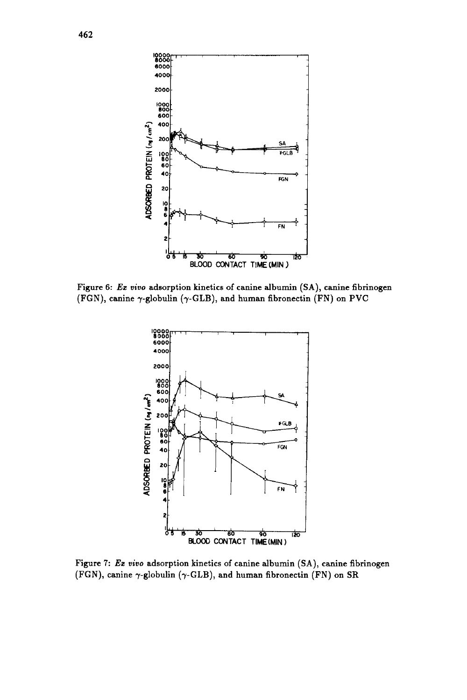

**Figure 6:** *Ez uivo* **adsorption kinetics** of **canine albumin (SA), canine fibrinogen (FGN), canine y-globulin (y-GLB), and human fibronectin (FN) on PVC** 



**Figure 7:** *Ez vivo* **adsorption kinetics** of **canine albumin (SA), canine fibrinogen (FGN), canine y-globulin (7-GLB), and human fibronectin (FN) on SR**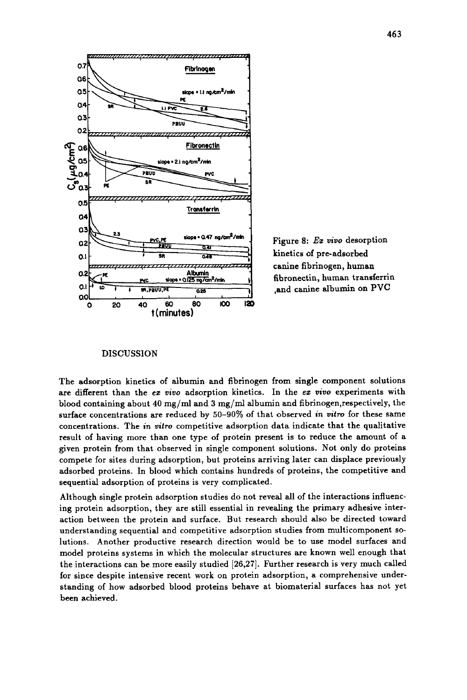

Figure 8: *Ez vivo* desorption canine fibrinogen. human *"I*  Albumin<br><sup>125</sup> m<sup>2</sup>/min **fibronectin, human transferrin** ,and canine albumin on PVC

### DISCUSSION

The adsorption kinetics of albumin and fibrinogen from single component solutions are different than the *ez vivo* adsorption kinetics. In the *ez uiuo* experiments with blood containing about 40 mg/ml and **3** mg/ml albumin and **fibrinogen,respectively,** the surface concentrations are reduced by **50-90%** of that observed *in uitm* for these same concentrations. The *in* **uitro** competitive adsorption data indicate that the qualitative result of having more than one type of protein present is to reduce the amount of a given protein from that observed in single component solutions. Not only do proteins compete for sites during adsorption, but proteins arriving later can displace previously adsorbed proteins. In blood which contains hundreds of proteins, the competitive and sequential adsorption of proteins is very complicated.

Although single protein adsorption studies do not reveal all of the interactions influencing protein adsorption, they are still essential in revealing the primary adhesive interaction between the protein and surface. But research should also be directed toward understanding sequential and competitive adsorption studies from multicomponent solutions. Another productive research direction would be to use model surfaces and model proteins systems in which the molecular structures are known well enough that the interactions can be more easily studied **[26,27].** Further research is very much called for since despite intensive recent work on protein adsorption, a comprehensive understanding of how adsorbed blood proteins behave at biomaterial surfaces has not yet been achieved.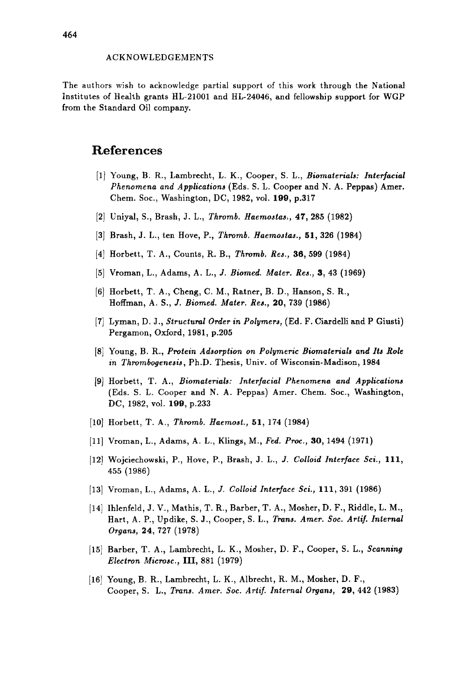## ACKNOWLEDGEMENTS

The authors wish to acknowledge partial support of this work through the National Institutes of Health grants **HL-21001** and **HL-24046,** and fellowship support for WGP from the Standard Oil company.

# **References**

- **[l]** Young, B. R., Lambrecht, L. K., Cooper, *S.* L., *Biomaterials: Interfacial Phenomena and Applications* (Eds. S. L. Cooper and N. A. Peppas) Amer. Chem. *SOC.,* Washington, DC, **1982,** vol. **199, p.317**
- **[2]** Uniyal, **S.,** Brash, J. L., *Thromb. Haemoatas;,* **47, 285 (1982)**
- **[3]** Brash, **J.** L., ten Hove, P., *Thromb. Haemoatas.,* **51, 326 (1984)**
- **(41** Horbett, T. A., Counts, R. B., *Thromb. Res., 36,* **599 (1984)**
- **[5]** Vroman, L., Adams, A. L., *J. Biomed. Mater. Res., 3,* **43 (1969)**
- **[6]** Horbett, T. A., Cheng, C. M., Ratner, B. D., Hanson, S. R., Hoffman, A. S., J. *Biomed. Mater. Res.,* **20, 739 (1986)**
- **[7]** Lyman, D. **J.,** *Structural Order in Polymers,* (Ed. F. Ciardelli and P **Giusti)**  Pergamon, Oxford, **1981, p.205**
- **[8]** Young, B. R., *Protean Adsorption on Polymeric Biomaterials and Its Role in Thrombogenesis,* Ph.D. Thesis, Univ. of Wisconsin-Madison, **1984**
- **[9]** Horbett, T. A., *Biomaterials: Interfacial Phenomena and Applications*  (Eds. S. L. Cooper and N. A. Peppas) Amer. Chem. Soc., Washington, DC, **1982,** vol. **199, p.233**
- **[lo]** Horbett, T. A,, *Thromb. Haemost.,* **51, 174 (1984)**
- **[ll]** Vroman, **L.,** Adams, A. L., Klings, M., *Fed. Proc., 30,* **1494 (1971)**
- **[12]** Wojciechowski, P., Hove, P., Brash, J. **L.,** J. *Colloid Interface Sci.,* **111, 455 (1986)**
- **[13]** Vroman, L., Adams, A. **L.,** *J. Colloid Interface Sci.,* **111, 391 (1986)**
- **[14]** Ihlenfeld, **J.** V., Mathis, T. R., Barber, T. A., Mosher, D. F., Riddle, L. M., Hart, A. P., Updike, S. J., Cooper, *S.* **L.,** *Trans. Amer. Soc. Artif. Internal Organa,* **24, 727 (1978)**
- **[15]** Barber, T. A., Lambrecht, L. K., Mosher, D. F., Cooper, *S.* L., *Scanning Electron Microsc.,* **111, 881 (1979)**
- **[16]** Young, B. R., Lambrecht, L. K., Albrecht, R. M., Mosher, D. F., Cooper, **S.** L., *Trans. Amer. Soc. Artif. Internal Organs,* **29, 442 (1983)**